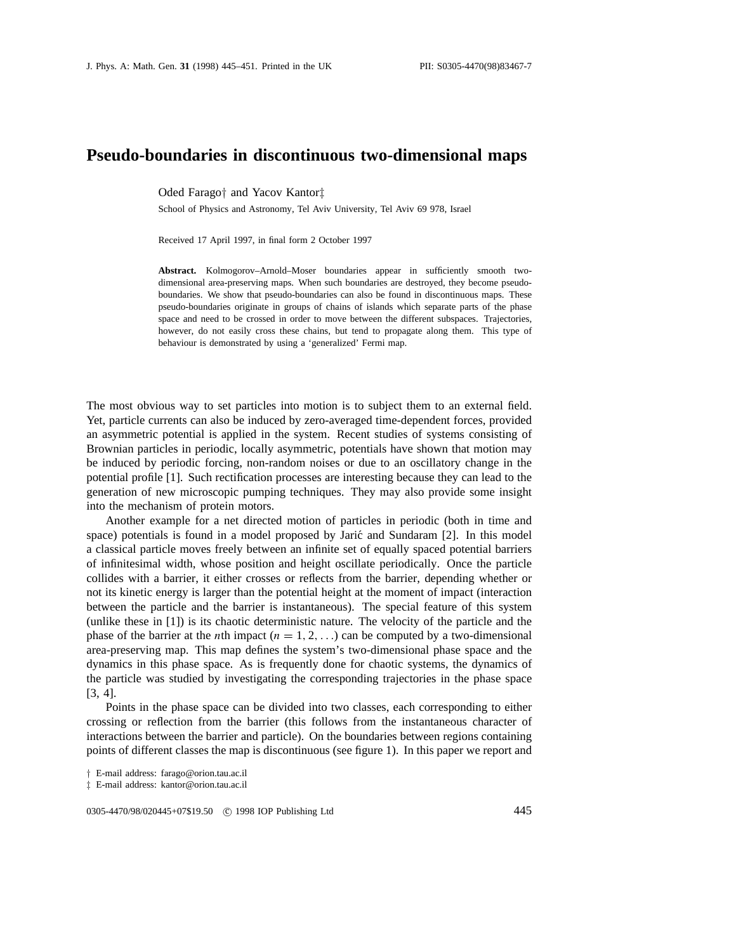## **Pseudo-boundaries in discontinuous two-dimensional maps**

Oded Farago*†* and Yacov Kantor*‡*

School of Physics and Astronomy, Tel Aviv University, Tel Aviv 69 978, Israel

Received 17 April 1997, in final form 2 October 1997

**Abstract.** Kolmogorov–Arnold–Moser boundaries appear in sufficiently smooth twodimensional area-preserving maps. When such boundaries are destroyed, they become pseudoboundaries. We show that pseudo-boundaries can also be found in discontinuous maps. These pseudo-boundaries originate in groups of chains of islands which separate parts of the phase space and need to be crossed in order to move between the different subspaces. Trajectories, however, do not easily cross these chains, but tend to propagate along them. This type of behaviour is demonstrated by using a 'generalized' Fermi map.

The most obvious way to set particles into motion is to subject them to an external field. Yet, particle currents can also be induced by zero-averaged time-dependent forces, provided an asymmetric potential is applied in the system. Recent studies of systems consisting of Brownian particles in periodic, locally asymmetric, potentials have shown that motion may be induced by periodic forcing, non-random noises or due to an oscillatory change in the potential profile [1]. Such rectification processes are interesting because they can lead to the generation of new microscopic pumping techniques. They may also provide some insight into the mechanism of protein motors.

Another example for a net directed motion of particles in periodic (both in time and space) potentials is found in a model proposed by Jarić and Sundaram [2]. In this model a classical particle moves freely between an infinite set of equally spaced potential barriers of infinitesimal width, whose position and height oscillate periodically. Once the particle collides with a barrier, it either crosses or reflects from the barrier, depending whether or not its kinetic energy is larger than the potential height at the moment of impact (interaction between the particle and the barrier is instantaneous). The special feature of this system (unlike these in [1]) is its chaotic deterministic nature. The velocity of the particle and the phase of the barrier at the *n*th impact  $(n = 1, 2, ...)$  can be computed by a two-dimensional area-preserving map. This map defines the system's two-dimensional phase space and the dynamics in this phase space. As is frequently done for chaotic systems, the dynamics of the particle was studied by investigating the corresponding trajectories in the phase space [3, 4].

Points in the phase space can be divided into two classes, each corresponding to either crossing or reflection from the barrier (this follows from the instantaneous character of interactions between the barrier and particle). On the boundaries between regions containing points of different classes the map is discontinuous (see figure 1). In this paper we report and

0305-4470/98/020445+07\$19.50 © 1998 IOP Publishing Ltd 445

*<sup>†</sup>* E-mail address: farago@orion.tau.ac.il

*<sup>‡</sup>* E-mail address: kantor@orion.tau.ac.il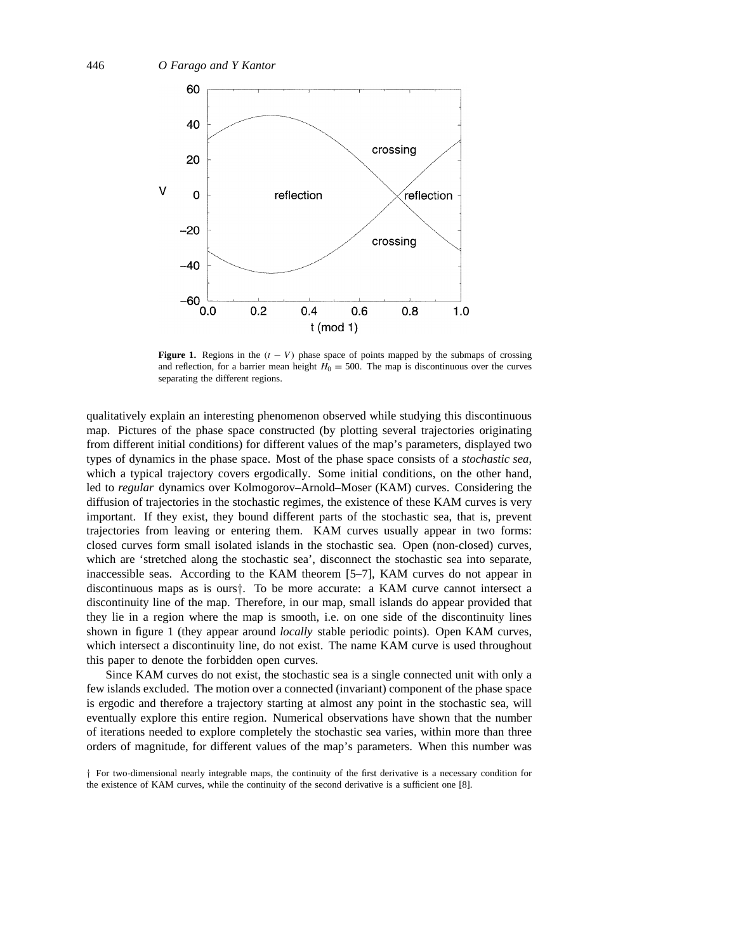

**Figure 1.** Regions in the  $(t - V)$  phase space of points mapped by the submaps of crossing and reflection, for a barrier mean height  $H_0 = 500$ . The map is discontinuous over the curves separating the different regions.

qualitatively explain an interesting phenomenon observed while studying this discontinuous map. Pictures of the phase space constructed (by plotting several trajectories originating from different initial conditions) for different values of the map's parameters, displayed two types of dynamics in the phase space. Most of the phase space consists of a *stochastic sea*, which a typical trajectory covers ergodically. Some initial conditions, on the other hand, led to *regular* dynamics over Kolmogorov–Arnold–Moser (KAM) curves. Considering the diffusion of trajectories in the stochastic regimes, the existence of these KAM curves is very important. If they exist, they bound different parts of the stochastic sea, that is, prevent trajectories from leaving or entering them. KAM curves usually appear in two forms: closed curves form small isolated islands in the stochastic sea. Open (non-closed) curves, which are 'stretched along the stochastic sea', disconnect the stochastic sea into separate, inaccessible seas. According to the KAM theorem [5–7], KAM curves do not appear in discontinuous maps as is ours*†*. To be more accurate: a KAM curve cannot intersect a discontinuity line of the map. Therefore, in our map, small islands do appear provided that they lie in a region where the map is smooth, i.e. on one side of the discontinuity lines shown in figure 1 (they appear around *locally* stable periodic points). Open KAM curves, which intersect a discontinuity line, do not exist. The name KAM curve is used throughout this paper to denote the forbidden open curves.

Since KAM curves do not exist, the stochastic sea is a single connected unit with only a few islands excluded. The motion over a connected (invariant) component of the phase space is ergodic and therefore a trajectory starting at almost any point in the stochastic sea, will eventually explore this entire region. Numerical observations have shown that the number of iterations needed to explore completely the stochastic sea varies, within more than three orders of magnitude, for different values of the map's parameters. When this number was

*<sup>†</sup>* For two-dimensional nearly integrable maps, the continuity of the first derivative is a necessary condition for the existence of KAM curves, while the continuity of the second derivative is a sufficient one [8].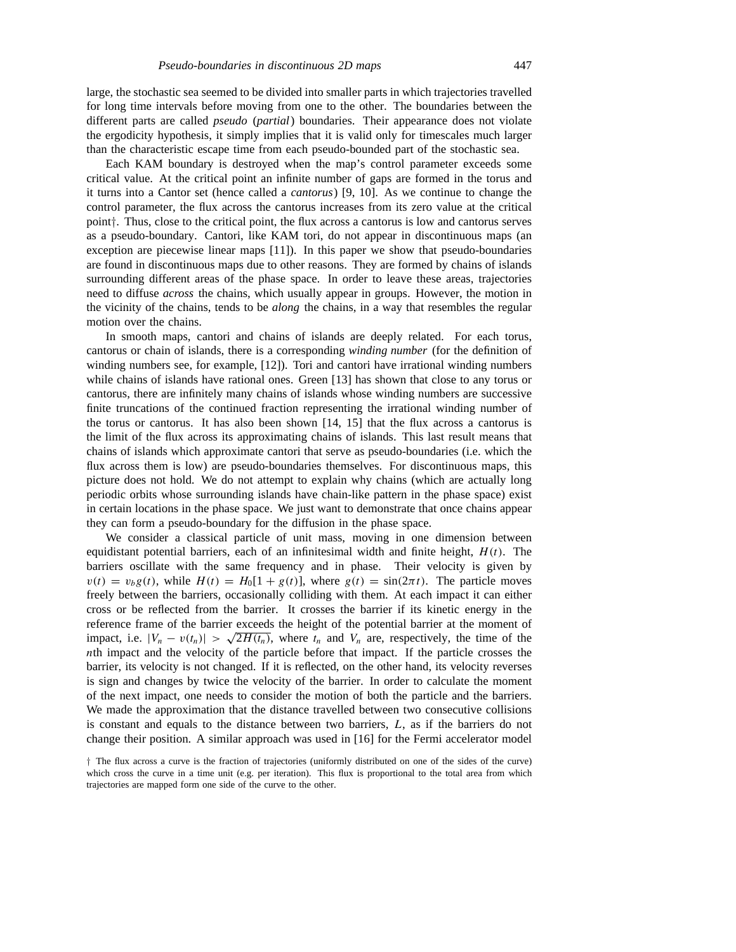large, the stochastic sea seemed to be divided into smaller parts in which trajectories travelled for long time intervals before moving from one to the other. The boundaries between the different parts are called *pseudo* (*partial*) boundaries. Their appearance does not violate the ergodicity hypothesis, it simply implies that it is valid only for timescales much larger than the characteristic escape time from each pseudo-bounded part of the stochastic sea.

Each KAM boundary is destroyed when the map's control parameter exceeds some critical value. At the critical point an infinite number of gaps are formed in the torus and it turns into a Cantor set (hence called a *cantorus*) [9, 10]. As we continue to change the control parameter, the flux across the cantorus increases from its zero value at the critical point*†*. Thus, close to the critical point, the flux across a cantorus is low and cantorus serves as a pseudo-boundary. Cantori, like KAM tori, do not appear in discontinuous maps (an exception are piecewise linear maps [11]). In this paper we show that pseudo-boundaries are found in discontinuous maps due to other reasons. They are formed by chains of islands surrounding different areas of the phase space. In order to leave these areas, trajectories need to diffuse *across* the chains, which usually appear in groups. However, the motion in the vicinity of the chains, tends to be *along* the chains, in a way that resembles the regular motion over the chains.

In smooth maps, cantori and chains of islands are deeply related. For each torus, cantorus or chain of islands, there is a corresponding *winding number* (for the definition of winding numbers see, for example, [12]). Tori and cantori have irrational winding numbers while chains of islands have rational ones. Green [13] has shown that close to any torus or cantorus, there are infinitely many chains of islands whose winding numbers are successive finite truncations of the continued fraction representing the irrational winding number of the torus or cantorus. It has also been shown [14, 15] that the flux across a cantorus is the limit of the flux across its approximating chains of islands. This last result means that chains of islands which approximate cantori that serve as pseudo-boundaries (i.e. which the flux across them is low) are pseudo-boundaries themselves. For discontinuous maps, this picture does not hold. We do not attempt to explain why chains (which are actually long periodic orbits whose surrounding islands have chain-like pattern in the phase space) exist in certain locations in the phase space. We just want to demonstrate that once chains appear they can form a pseudo-boundary for the diffusion in the phase space.

We consider a classical particle of unit mass, moving in one dimension between equidistant potential barriers, each of an infinitesimal width and finite height, *H (t)*. The barriers oscillate with the same frequency and in phase. Their velocity is given by  $v(t) = v_b g(t)$ , while  $H(t) = H_0[1 + g(t)]$ , where  $g(t) = \sin(2\pi t)$ . The particle moves freely between the barriers, occasionally colliding with them. At each impact it can either cross or be reflected from the barrier. It crosses the barrier if its kinetic energy in the reference frame of the barrier exceeds the height of the potential barrier at the moment of impact, i.e.  $|V_n - v(t_n)| > \sqrt{2H(t_n)}$ , where  $t_n$  and  $V_n$  are, respectively, the time of the *nth* impact and the velocity of the particle before that impact. If the particle crosses the barrier, its velocity is not changed. If it is reflected, on the other hand, its velocity reverses is sign and changes by twice the velocity of the barrier. In order to calculate the moment of the next impact, one needs to consider the motion of both the particle and the barriers. We made the approximation that the distance travelled between two consecutive collisions is constant and equals to the distance between two barriers, *L*, as if the barriers do not change their position. A similar approach was used in [16] for the Fermi accelerator model

*<sup>†</sup>* The flux across a curve is the fraction of trajectories (uniformly distributed on one of the sides of the curve) which cross the curve in a time unit (e.g. per iteration). This flux is proportional to the total area from which trajectories are mapped form one side of the curve to the other.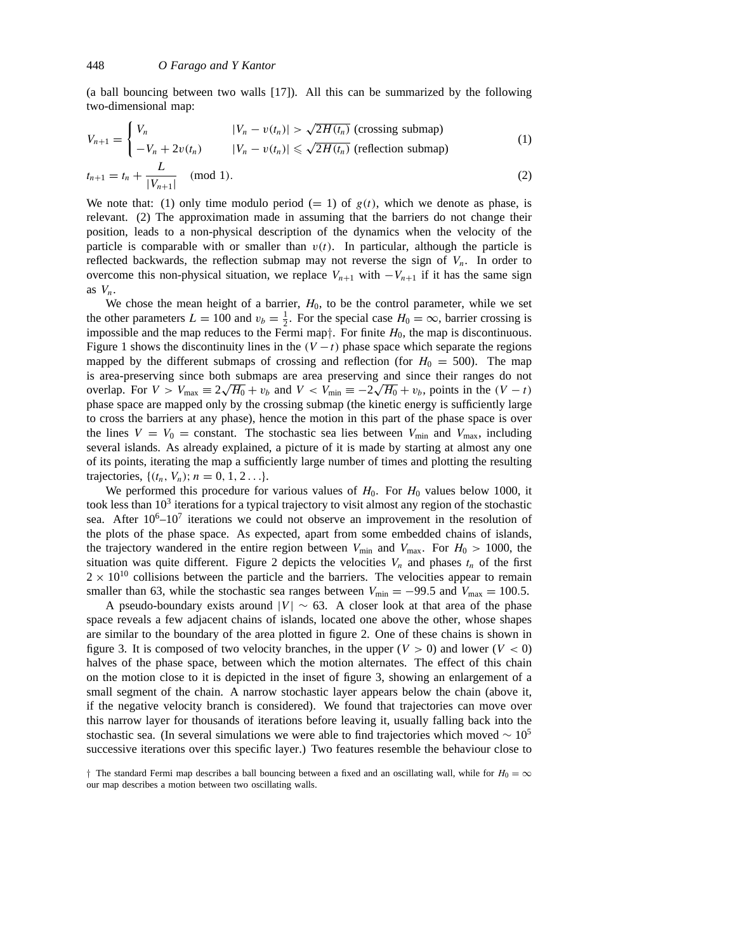(a ball bouncing between two walls [17]). All this can be summarized by the following two-dimensional map:

$$
V_{n+1} = \begin{cases} V_n & |V_n - v(t_n)| > \sqrt{2H(t_n)} \text{ (crossing submap)}\\ -V_n + 2v(t_n) & |V_n - v(t_n)| \le \sqrt{2H(t_n)} \text{ (reflection submap)} \end{cases}
$$
(1)

$$
t_{n+1} = t_n + \frac{L}{|V_{n+1}|} \pmod{1}.
$$
 (2)

We note that: (1) only time modulo period  $(= 1)$  of  $g(t)$ , which we denote as phase, is relevant. (2) The approximation made in assuming that the barriers do not change their position, leads to a non-physical description of the dynamics when the velocity of the particle is comparable with or smaller than  $v(t)$ . In particular, although the particle is reflected backwards, the reflection submap may not reverse the sign of *Vn*. In order to overcome this non-physical situation, we replace  $V_{n+1}$  with  $-V_{n+1}$  if it has the same sign as *Vn*.

We chose the mean height of a barrier,  $H_0$ , to be the control parameter, while we set the other parameters  $L = 100$  and  $v_b = \frac{1}{2}$ . For the special case  $H_0 = \infty$ , barrier crossing is impossible and the map reduces to the Fermi map*†*. For finite *H*0, the map is discontinuous. Figure 1 shows the discontinuity lines in the  $(V - t)$  phase space which separate the regions mapped by the different submaps of crossing and reflection (for  $H_0 = 500$ ). The map is area-preserving since both submaps are area preserving and since their ranges do not overlap. For  $V > V_{\text{max}} \equiv 2\sqrt{H_0} + v_b$  and  $V < V_{\text{min}} \equiv -2\sqrt{H_0} + v_b$ , points in the  $(V - t)$ phase space are mapped only by the crossing submap (the kinetic energy is sufficiently large to cross the barriers at any phase), hence the motion in this part of the phase space is over the lines  $V = V_0$  = constant. The stochastic sea lies between  $V_{\text{min}}$  and  $V_{\text{max}}$ , including several islands. As already explained, a picture of it is made by starting at almost any one of its points, iterating the map a sufficiently large number of times and plotting the resulting trajectories,  $\{(t_n, V_n); n = 0, 1, 2, \ldots\}.$ 

We performed this procedure for various values of  $H_0$ . For  $H_0$  values below 1000, it took less than  $10<sup>3</sup>$  iterations for a typical trajectory to visit almost any region of the stochastic sea. After  $10^6-10^7$  iterations we could not observe an improvement in the resolution of the plots of the phase space. As expected, apart from some embedded chains of islands, the trajectory wandered in the entire region between  $V_{\text{min}}$  and  $V_{\text{max}}$ . For  $H_0 > 1000$ , the situation was quite different. Figure 2 depicts the velocities  $V_n$  and phases  $t_n$  of the first  $2 \times 10^{10}$  collisions between the particle and the barriers. The velocities appear to remain smaller than 63, while the stochastic sea ranges between  $V_{\text{min}} = -99.5$  and  $V_{\text{max}} = 100.5$ .

A pseudo-boundary exists around  $|V| \sim 63$ . A closer look at that area of the phase space reveals a few adjacent chains of islands, located one above the other, whose shapes are similar to the boundary of the area plotted in figure 2. One of these chains is shown in figure 3. It is composed of two velocity branches, in the upper  $(V > 0)$  and lower  $(V < 0)$ halves of the phase space, between which the motion alternates. The effect of this chain on the motion close to it is depicted in the inset of figure 3, showing an enlargement of a small segment of the chain. A narrow stochastic layer appears below the chain (above it, if the negative velocity branch is considered). We found that trajectories can move over this narrow layer for thousands of iterations before leaving it, usually falling back into the stochastic sea. (In several simulations we were able to find trajectories which moved  $\sim 10^5$ successive iterations over this specific layer.) Two features resemble the behaviour close to

*<sup>†</sup>* The standard Fermi map describes a ball bouncing between a fixed and an oscillating wall, while for  $H_0 = \infty$ our map describes a motion between two oscillating walls.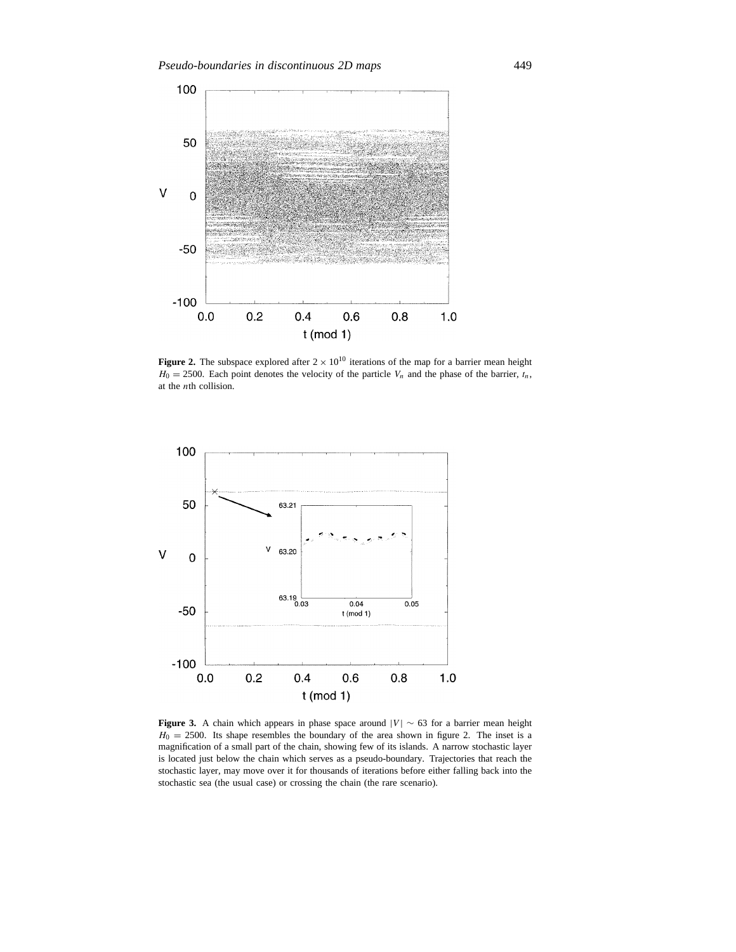

**Figure 2.** The subspace explored after  $2 \times 10^{10}$  iterations of the map for a barrier mean height  $H_0 = 2500$ . Each point denotes the velocity of the particle  $V_n$  and the phase of the barrier,  $t_n$ , at the *n*th collision.



**Figure 3.** A chain which appears in phase space around  $|V| \sim 63$  for a barrier mean height  $H_0 = 2500$ . Its shape resembles the boundary of the area shown in figure 2. The inset is a magnification of a small part of the chain, showing few of its islands. A narrow stochastic layer is located just below the chain which serves as a pseudo-boundary. Trajectories that reach the stochastic layer, may move over it for thousands of iterations before either falling back into the stochastic sea (the usual case) or crossing the chain (the rare scenario).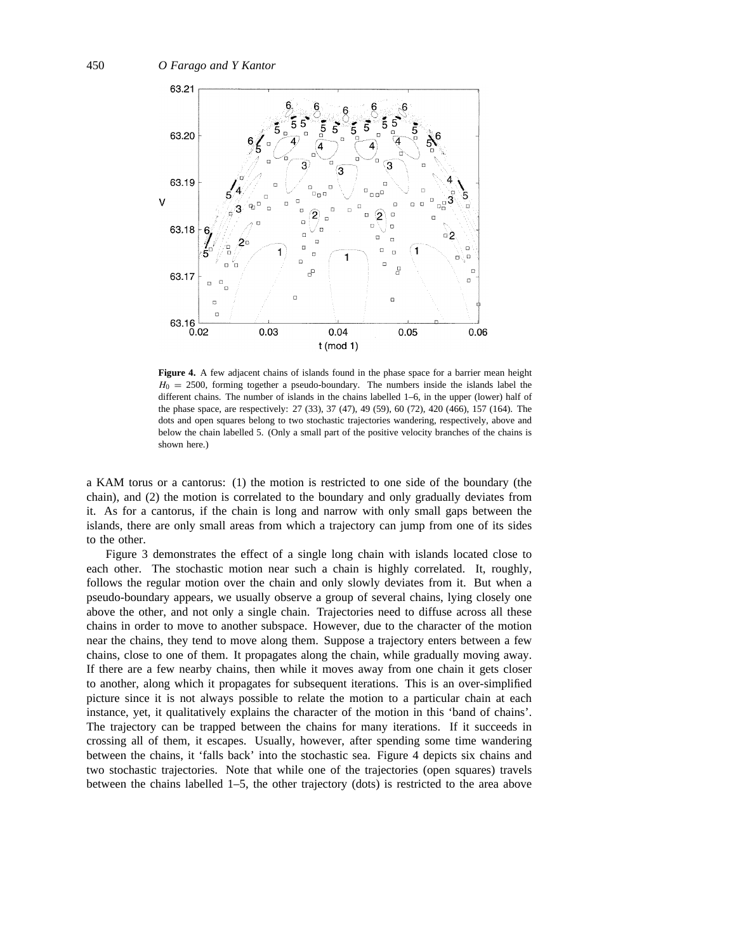

**Figure 4.** A few adjacent chains of islands found in the phase space for a barrier mean height  $H_0 = 2500$ , forming together a pseudo-boundary. The numbers inside the islands label the different chains. The number of islands in the chains labelled 1–6, in the upper (lower) half of the phase space, are respectively: 27 (33), 37 (47), 49 (59), 60 (72), 420 (466), 157 (164). The dots and open squares belong to two stochastic trajectories wandering, respectively, above and below the chain labelled 5. (Only a small part of the positive velocity branches of the chains is shown here.)

a KAM torus or a cantorus: (1) the motion is restricted to one side of the boundary (the chain), and (2) the motion is correlated to the boundary and only gradually deviates from it. As for a cantorus, if the chain is long and narrow with only small gaps between the islands, there are only small areas from which a trajectory can jump from one of its sides to the other.

Figure 3 demonstrates the effect of a single long chain with islands located close to each other. The stochastic motion near such a chain is highly correlated. It, roughly, follows the regular motion over the chain and only slowly deviates from it. But when a pseudo-boundary appears, we usually observe a group of several chains, lying closely one above the other, and not only a single chain. Trajectories need to diffuse across all these chains in order to move to another subspace. However, due to the character of the motion near the chains, they tend to move along them. Suppose a trajectory enters between a few chains, close to one of them. It propagates along the chain, while gradually moving away. If there are a few nearby chains, then while it moves away from one chain it gets closer to another, along which it propagates for subsequent iterations. This is an over-simplified picture since it is not always possible to relate the motion to a particular chain at each instance, yet, it qualitatively explains the character of the motion in this 'band of chains'. The trajectory can be trapped between the chains for many iterations. If it succeeds in crossing all of them, it escapes. Usually, however, after spending some time wandering between the chains, it 'falls back' into the stochastic sea. Figure 4 depicts six chains and two stochastic trajectories. Note that while one of the trajectories (open squares) travels between the chains labelled 1–5, the other trajectory (dots) is restricted to the area above